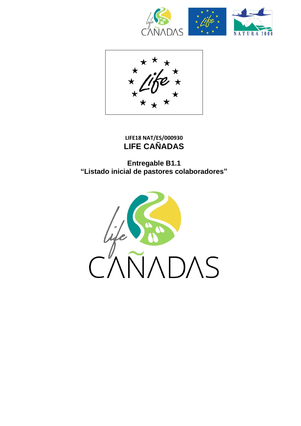





**LIFE18 NAT/ES/000930 LIFE CAÑADAS**

**Entregable B1.1 "Listado inicial de pastores colaboradores"**

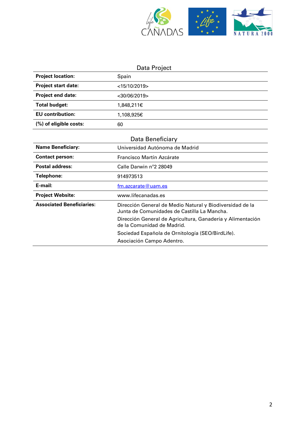

## Data Project

| <b>Project location:</b>   | Spain              |
|----------------------------|--------------------|
| <b>Project start date:</b> | $<$ 15/10/2019>    |
| <b>Project end date:</b>   | $<$ 30/06/2019 $>$ |
| Total budget:              | 1,848,211€         |
| <b>EU</b> contribution:    | 1,108,925€         |
| (%) of eligible costs:     | 60                 |

| Data Beneficiary                 |                                                                                                         |  |
|----------------------------------|---------------------------------------------------------------------------------------------------------|--|
| <b>Name Beneficiary:</b>         | Universidad Autónoma de Madrid                                                                          |  |
| <b>Contact person:</b>           | Francisco Martín Azcárate                                                                               |  |
| Postal address:                  | Calle Darwin n°2 28049                                                                                  |  |
| Telephone:                       | 914973513                                                                                               |  |
| E-mail:                          | $fm$ .azcarate@uam.es                                                                                   |  |
|                                  |                                                                                                         |  |
| <b>Project Website:</b>          | www.lifecanadas.es                                                                                      |  |
| <b>Associated Beneficiaries:</b> | Dirección General de Medio Natural y Biodiversidad de la<br>Junta de Comunidades de Castilla La Mancha. |  |
|                                  | Dirección General de Agricultura, Ganadería y Alimentación<br>de la Comunidad de Madrid.                |  |
|                                  | Sociedad Española de Ornitología (SEO/BirdLife).                                                        |  |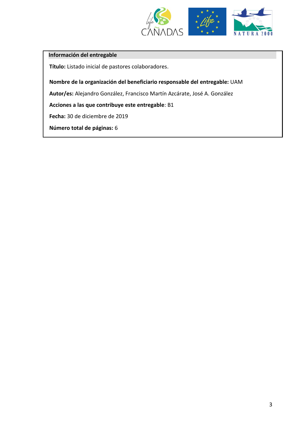

## **Información del entregable**

**Título:** Listado inicial de pastores colaboradores.

**Nombre de la organización del beneficiario responsable del entregable:** UAM

**Autor/es:** Alejandro González, Francisco Martín Azcárate, José A. González

**Acciones a las que contribuye este entregable**: B1

**Fecha:** 30 de diciembre de 2019

**Número total de páginas:** 6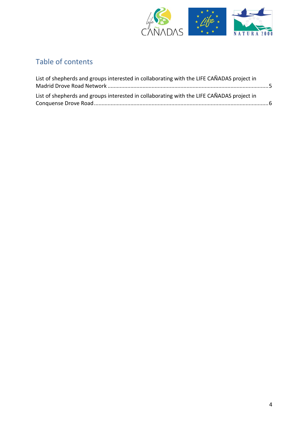

## Table of contents

| List of shepherds and groups interested in collaborating with the LIFE CAÑADAS project in | List of shepherds and groups interested in collaborating with the LIFE CAÑADAS project in |  |
|-------------------------------------------------------------------------------------------|-------------------------------------------------------------------------------------------|--|
|                                                                                           |                                                                                           |  |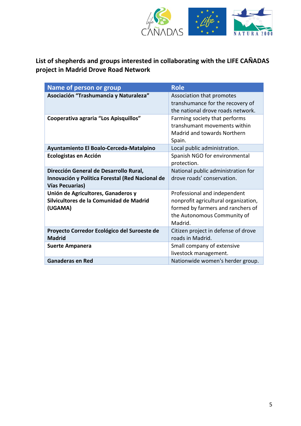

## <span id="page-4-0"></span>**List of shepherds and groups interested in collaborating with the LIFE CAÑADAS project in Madrid Drove Road Network**

| Name of person or group                                                                                             | <b>Role</b>                                                                                                                                         |
|---------------------------------------------------------------------------------------------------------------------|-----------------------------------------------------------------------------------------------------------------------------------------------------|
| Asociación "Trashumancia y Naturaleza"                                                                              | Association that promotes<br>transhumance for the recovery of<br>the national drove roads network.                                                  |
| Cooperativa agraria "Los Apisquillos"                                                                               | Farming society that performs<br>transhumant movements within<br>Madrid and towards Northern<br>Spain.                                              |
| Ayuntamiento El Boalo-Cerceda-Matalpino                                                                             | Local public administration.                                                                                                                        |
| <b>Ecologistas en Acción</b>                                                                                        | Spanish NGO for environmental<br>protection.                                                                                                        |
| Dirección General de Desarrollo Rural,<br>Innovación y Política Forestal (Red Nacional de<br><b>Vías Pecuarias)</b> | National public administration for<br>drove roads' conservation.                                                                                    |
| Unión de Agricultores, Ganaderos y<br>Silvicultores de la Comunidad de Madrid<br>(UGAMA)                            | Professional and independent<br>nonprofit agricultural organization,<br>formed by farmers and ranchers of<br>the Autonomous Community of<br>Madrid. |
| Proyecto Corredor Ecológico del Suroeste de<br><b>Madrid</b>                                                        | Citizen project in defense of drove<br>roads in Madrid.                                                                                             |
| <b>Suerte Ampanera</b>                                                                                              | Small company of extensive<br>livestock management.                                                                                                 |
| <b>Ganaderas en Red</b>                                                                                             | Nationwide women's herder group.                                                                                                                    |